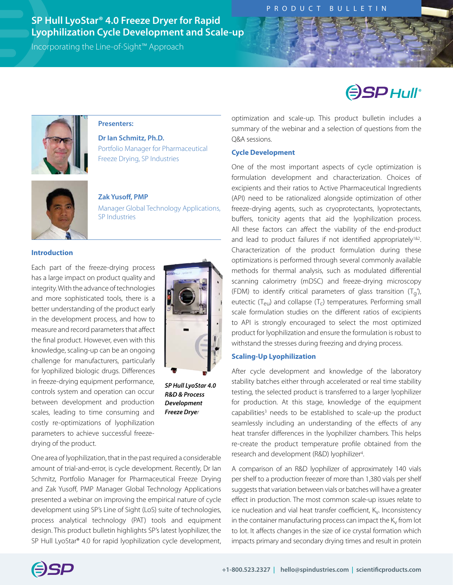# **SP Hull LyoStar® 4.0 Freeze Dryer for Rapid Lyophilization Cycle Development and Scale-up**

Incorporating the Line-of-Sight™ Approach

# **ESPHUIF**



#### **Presenters:**

**Dr Ian Schmitz, Ph.D.**  Portfolio Manager for Pharmaceutical Freeze Drying, SP Industries



**Zak Yusoff, PMP** Manager Global Technology Applications, SP Industries

#### **Introduction**

Each part of the freeze-drying process has a large impact on product quality and integrity. With the advance of technologies and more sophisticated tools, there is a better understanding of the product early in the development process, and how to measure and record parameters that affect the final product. However, even with this knowledge, scaling-up can be an ongoing challenge for manufacturers, particularly for lyophilized biologic drugs. Differences in freeze-drying equipment performance, controls system and operation can occur between development and production scales, leading to time consuming and costly re-optimizations of lyophilization parameters to achieve successful freezedrying of the product.



*SP Hull LyoStar 4.0 R&D & Process Development Freeze Dryer*

One area of lyophilization, that in the past required a considerable amount of trial-and-error, is cycle development. Recently, Dr Ian Schmitz, Portfolio Manager for Pharmaceutical Freeze Drying and Zak Yusoff, PMP Manager Global Technology Applications presented a webinar on improving the empirical nature of cycle development using SP's Line of Sight (LoS) suite of technologies, process analytical technology (PAT) tools and equipment design. This product bulletin highlights SP's latest lyophilizer, the SP Hull LyoStar® 4.0 for rapid lyophilization cycle development, optimization and scale-up. This product bulletin includes a summary of the webinar and a selection of questions from the Q&A sessions.

#### **Cycle Development**

One of the most important aspects of cycle optimization is formulation development and characterization. Choices of excipients and their ratios to Active Pharmaceutical Ingredients (API) need to be rationalized alongside optimization of other freeze-drying agents, such as cryoprotectants, lyoprotectants, buffers, tonicity agents that aid the lyophilization process. All these factors can affect the viability of the end-product and lead to product failures if not identified appropriately<sup>1&2</sup>. Characterization of the product formulation during these optimizations is performed through several commonly available methods for thermal analysis, such as modulated differential scanning calorimetry (mDSC) and freeze-drying microscopy (FDM) to identify critical parameters of glass transition  $(T_q)$ , eutectic ( $T_{\text{eu}}$ ) and collapse ( $T_c$ ) temperatures. Performing small scale formulation studies on the different ratios of excipients to API is strongly encouraged to select the most optimized product for lyophilization and ensure the formulation is robust to withstand the stresses during freezing and drying process.

#### **Scaling-Up Lyophilization**

After cycle development and knowledge of the laboratory stability batches either through accelerated or real time stability testing, the selected product is transferred to a larger lyophilizer for production. At this stage, knowledge of the equipment capabilities<sup>3</sup> needs to be established to scale-up the product seamlessly including an understanding of the effects of any heat transfer differences in the lyophilizer chambers. This helps re-create the product temperature profile obtained from the research and development (R&D) lyophilizer<sup>4</sup>. .

A comparison of an R&D lyophilizer of approximately 140 vials per shelf to a production freezer of more than 1,380 vials per shelf suggests that variation between vials or batches will have a greater effect in production. The most common scale-up issues relate to ice nucleation and vial heat transfer coefficient,  $K_v$ . Inconsistency in the container manufacturing process can impact the  $K_v$  from lot to lot. It affects changes in the size of ice crystal formation which impacts primary and secondary drying times and result in protein

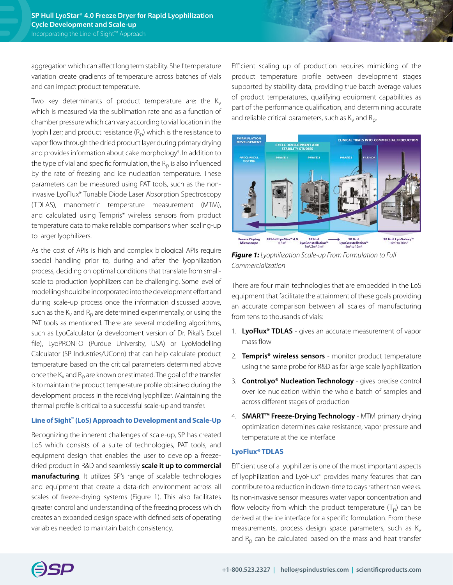aggregation which can affect long term stability. Shelf temperature variation create gradients of temperature across batches of vials and can impact product temperature.

Two key determinants of product temperature are: the  $K_v$ which is measured via the sublimation rate and as a function of chamber pressure which can vary according to vial location in the lyophilizer; and product resistance  $(R<sub>n</sub>)$  which is the resistance to vapor flow through the dried product layer during primary drying and provides information about cake morphology<sup>5</sup>. In addition to the type of vial and specific formulation, the  $R<sub>p</sub>$  is also influenced by the rate of freezing and ice nucleation temperature. These parameters can be measured using PAT tools, such as the noninvasive LyoFlux\* Tunable Diode Laser Absorption Spectroscopy (TDLAS), manometric temperature measurement (MTM), and calculated using Tempris\* wireless sensors from product temperature data to make reliable comparisons when scaling-up to larger lyophilizers.

As the cost of APIs is high and complex biological APIs require special handling prior to, during and after the lyophilization process, deciding on optimal conditions that translate from smallscale to production lyophilizers can be challenging. Some level of modelling should be incorporated into the development effort and during scale-up process once the information discussed above, such as the  $K_v$  and  $R_p$  are determined experimentally, or using the PAT tools as mentioned. There are several modelling algorithms, such as LyoCalculator (a development version of Dr. Pikal's Excel file), LyoPRONTO (Purdue University, USA) or LyoModelling Calculator (SP Industries/UConn) that can help calculate product temperature based on the critical parameters determined above once the  $K_v$  and  $R_p$  are known or estimated. The goal of the transfer is to maintain the product temperature profile obtained during the development process in the receiving lyophilizer. Maintaining the thermal profile is critical to a successful scale-up and transfer.

#### **Line of Sight™ (LoS) Approach to Development and Scale-Up**

Recognizing the inherent challenges of scale-up, SP has created LoS which consists of a suite of technologies, PAT tools, and equipment design that enables the user to develop a freezedried product in R&D and seamlessly **[scale it up to commercial](https://sp-lineofsight.com/) [manufacturing](https://sp-lineofsight.com/)**. It utilizes SP's range of scalable technologies and equipment that create a data-rich environment across all scales of freeze-drying systems (Figure 1). This also facilitates greater control and understanding of the freezing process which creates an expanded design space with defined sets of operating variables needed to maintain batch consistency.

Efficient scaling up of production requires mimicking of the product temperature profile between development stages supported by stability data, providing true batch average values of product temperatures, qualifying equipment capabilities as part of the performance qualification, and determining accurate and reliable critical parameters, such as  $K_v$  and  $R_p$ .



*Figure 1: Lyophilization Scale-up From Formulation to Full Commercialization*

There are four main technologies that are embedded in the LoS equipment that facilitate the attainment of these goals providing an accurate comparison between all scales of manufacturing from tens to thousands of vials:

- 1. **LyoFlux\* TDLAS** gives an accurate measurement of vapor mass flow
- 2. **Tempris\* wireless sensors** monitor product temperature using the same probe for R&D as for large scale lyophilization
- 3. **ControLyo® Nucleation Technology** gives precise control over ice nucleation within the whole batch of samples and across different stages of production
- 4. **SMART™ Freeze-Drying Technology** MTM primary drying optimization determines cake resistance, vapor pressure and temperature at the ice interface

#### **LyoFlux\* TDLAS**

Efficient use of a lyophilizer is one of the most important aspects of lyophilization and LyoFlux\* provides many features that can contribute to a reduction in down-time to days rather than weeks. Its non-invasive sensor measures water vapor concentration and flow velocity from which the product temperature  $(T_p)$  can be derived at the ice interface for a specific formulation. From these measurements, process design space parameters, such as  $K_v$ and  $R<sub>p</sub>$  can be calculated based on the mass and heat transfer

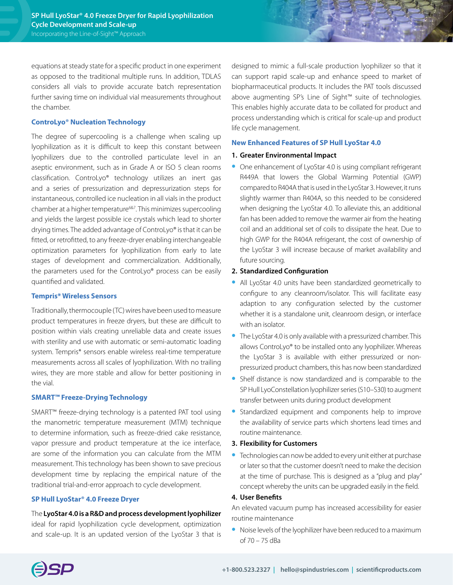equations at steady state for a specific product in one experiment as opposed to the traditional multiple runs. In addition, TDLAS considers all vials to provide accurate batch representation further saving time on individual vial measurements throughout the chamber.

#### **ControLyo® Nucleation Technology**

The degree of supercooling is a challenge when scaling up lyophilization as it is difficult to keep this constant between lyophilizers due to the controlled particulate level in an aseptic environment, such as in Grade A or ISO 5 clean rooms classification. ControLyo® technology utilizes an inert gas and a series of pressurization and depressurization steps for instantaneous, controlled ice nucleation in all vials in the product chamber at a higher temperature<sup>6&7</sup>. This minimizes supercooling and yields the largest possible ice crystals which lead to shorter drying times. The added advantage of ControLyo® is that it can be fitted, or retrofitted, to any freeze-dryer enabling interchangeable optimization parameters for lyophilization from early to late stages of development and commercialization. Additionally, the parameters used for the ControLyo® process can be easily quantified and validated.

#### **Tempris\* Wireless Sensors**

Traditionally, thermocouple (TC) wires have been used to measure product temperatures in freeze dryers, but these are difficult to position within vials creating unreliable data and create issues with sterility and use with automatic or semi-automatic loading system. Tempris\* sensors enable wireless real-time temperature measurements across all scales of lyophilization. With no trailing wires, they are more stable and allow for better positioning in the vial.

#### **SMART™ Freeze-Drying Technology**

SMART™ freeze-drying technology is a patented PAT tool using the manometric temperature measurement (MTM) technique to determine information, such as freeze-dried cake resistance, vapor pressure and product temperature at the ice interface, are some of the information you can calculate from the MTM measurement. This technology has been shown to save precious development time by replacing the empirical nature of the traditional trial-and-error approach to cycle development.

#### **SP Hull LyoStar® 4.0 Freeze Dryer**

# The **[LyoStar 4.0 is a R&D and process development lyophilizer](https://www.spscientific.com/LyoStar4/)**

ideal for rapid lyophilization cycle development, optimization and scale-up. It is an updated version of the LyoStar 3 that is designed to mimic a full-scale production lyophilizer so that it can support rapid scale-up and enhance speed to market of biopharmaceutical products. It includes the PAT tools discussed above augmenting SP's Line of Sight™ suite of technologies. This enables highly accurate data to be collated for product and process understanding which is critical for scale-up and product life cycle management.

#### **New Enhanced Features of SP Hull LyoStar 4.0**

# **1. Greater Environmental Impact**

**•** One enhancement of LyoStar 4.0 is using compliant refrigerant R449A that lowers the Global Warming Potential (GWP) compared to R404A that is used in the LyoStar 3. However, it runs slightly warmer than R404A, so this needed to be considered when designing the LyoStar 4.0. To alleviate this, an additional fan has been added to remove the warmer air from the heating coil and an additional set of coils to dissipate the heat. Due to high GWP for the R404A refrigerant, the cost of ownership of the LyoStar 3 will increase because of market availability and future sourcing.

# **2. Standardized Configuration**

- **•** All LyoStar 4.0 units have been standardized geometrically to configure to any cleanroom/isolator. This will facilitate easy adaption to any configuration selected by the customer whether it is a standalone unit, cleanroom design, or interface with an isolator.
- **•** The LyoStar 4.0 is only available with a pressurized chamber. This allows ControLyo® to be installed onto any lyophilizer. Whereas the LyoStar 3 is available with either pressurized or nonpressurized product chambers, this has now been standardized
- **•** Shelf distance is now standardized and is comparable to the SPHull LyoConstellation lyophilizer series (S10–S30) to augment transfer between units during product development
- **•** Standardized equipment and components help to improve the availability of service parts which shortens lead times and routine maintenance.

#### **3. Flexibility for Customers**

**•** Technologies can now be added to every unit either at purchase or later so that the customer doesn't need to make the decision at the time of purchase. This is designed as a "plug and play" concept whereby the units can be upgraded easily in the field.

#### **4. User Benefits**

An elevated vacuum pump has increased accessibility for easier routine maintenance

**•** Noise levels of the lyophilizer have been reduced to a maximum of 70 – 75 dBa

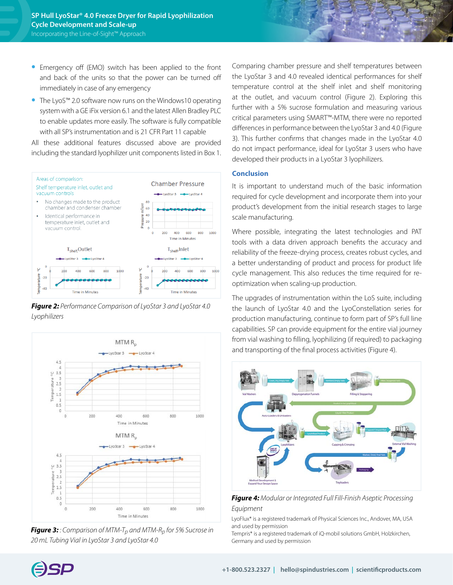- **•** Emergency off (EMO) switch has been applied to the front and back of the units so that the power can be turned off immediately in case of any emergency
- **•** The LyoS™ 2.0 software now runs on the Windows10 operating system with a GE iFix version 6.1 and the latest Allen Bradley PLC to enable updates more easily. The software is fully compatible with all SP's instrumentation and is 21 CFR Part 11 capable

All these additional features discussed above are provided including the standard lyophilizer unit components listed in Box 1.



*Figure 2: Performance Comparison of LyoStar 3 and LyoStar 4.0 Lyophilizers*



**Figure 3:** *: Comparison of MTM-T<sub>p</sub> and MTM-R<sub>p</sub> for 5% Sucrose in 20 mL Tubing Vial in LyoStar 3 and LyoStar 4.0*

Comparing chamber pressure and shelf temperatures between the LyoStar 3 and 4.0 revealed identical performances for shelf temperature control at the shelf inlet and shelf monitoring at the outlet, and vacuum control (Figure 2). Exploring this further with a 5% sucrose formulation and measuring various critical parameters using SMART™-MTM, there were no reported differences in performance between the LyoStar 3 and 4.0 (Figure 3). This further confirms that changes made in the LyoStar 4.0 do not impact performance, ideal for LyoStar 3 users who have developed their products in a LyoStar 3 lyophilizers.

# **Conclusion**

It is important to understand much of the basic information required for cycle development and incorporate them into your product's development from the initial research stages to large scale manufacturing.

Where possible, integrating the latest technologies and PAT tools with a data driven approach benefits the accuracy and reliability of the freeze-drying process, creates robust cycles, and a better understanding of product and process for product life cycle management. This also reduces the time required for reoptimization when scaling-up production.

The upgrades of instrumentation within the LoS suite, including the launch of LyoStar 4.0 and the LyoConstellation series for production manufacturing, continue to form part of SP's full line capabilities. SP can provide equipment for the entire vial journey from vial washing to filling, lyophilizing (if required) to packaging and transporting of the final process activities (Figure 4).



*Figure 4: Modular or Integrated Full Fill-Finish Aseptic Processing Equipment*

LyoFlux\* is a registered trademark of Physical Sciences Inc., Andover, MA, USA and used by permission

Tempris\* is a registered trademark of iQ-mobil solutions GmbH, Holzkirchen, Germany and used by permission

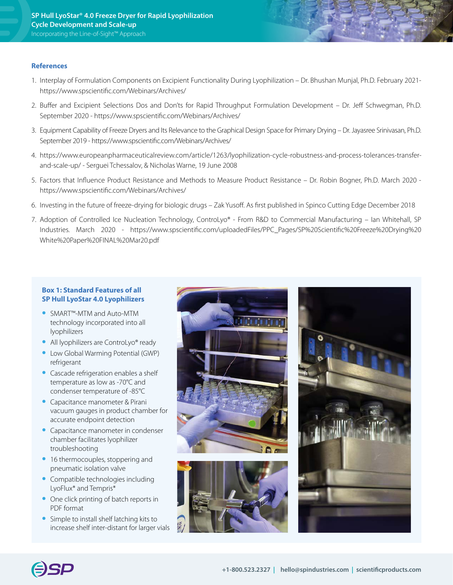#### **References**

- 1. Interplay of Formulation Components on Excipient Functionality During Lyophilization Dr. Bhushan Munjal, Ph.D. February 2021 https://www.spscientific.com/Webinars/Archives/
- 2. Buffer and Excipient Selections Dos and Don'ts for Rapid Throughput Formulation Development Dr. Jeff Schwegman, Ph.D. September 2020 - https://www.spscientific.com/Webinars/Archives/
- 3. Equipment Capability of Freeze Dryers and Its Relevance to the Graphical Design Space for Primary Drying Dr. Jayasree Srinivasan, Ph.D. September 2019 - https://www.spscientific.com/Webinars/Archives/
- 4. https://www.europeanpharmaceuticalreview.com/article/1263/lyophilization-cycle-robustness-and-process-tolerances-transferand-scale-up/ - Serguei Tchessalov, & Nicholas Warne, 19 June 2008
- 5. Factors that Influence Product Resistance and Methods to Measure Product Resistance Dr. Robin Bogner, Ph.D. March 2020 https://www.spscientific.com/Webinars/Archives/
- 6. Investing in the future of freeze-drying for biologic drugs Zak Yusoff. As first published in Spinco Cutting Edge December 2018
- 7. Adoption of Controlled Ice Nucleation Technology, ControLyo® From R&D to Commercial Manufacturing Ian Whitehall, SP Industries. March 2020 - [https://www.spscientific.com/uploadedFiles/PPC\\_Pages/SP%20Scientific%20Freeze%20Drying%20](https://www.spscientific.com/uploadedFiles/PPC_Pages/SP%20Scientific%20Freeze%20Drying%20White%20Paper%20FINAL%20Mar20.pdf) [White%20Paper%20FINAL%20Mar20.pdf](https://www.spscientific.com/uploadedFiles/PPC_Pages/SP%20Scientific%20Freeze%20Drying%20White%20Paper%20FINAL%20Mar20.pdf)

#### **Box 1: Standard Features of all SP Hull LyoStar 4.0 Lyophilizers**

- **•** SMART™-MTM and Auto-MTM technology incorporated into all lyophilizers
- **•** All lyophilizers are ControLyo® ready
- **•** Low Global Warming Potential (GWP) refrigerant
- **•** Cascade refrigeration enables a shelf temperature as low as -70°C and condenser temperature of -85°C
- **•** Capacitance manometer & Pirani vacuum gauges in product chamber for accurate endpoint detection
- **•** Capacitance manometer in condenser chamber facilitates lyophilizer troubleshooting
- 16 thermocouples, stoppering and pneumatic isolation valve
- **•** Compatible technologies including LyoFlux\* and Tempris\*
- **•** One click printing of batch reports in PDF format
- **•** Simple to install shelf latching kits to increase shelf inter-distant for larger vials